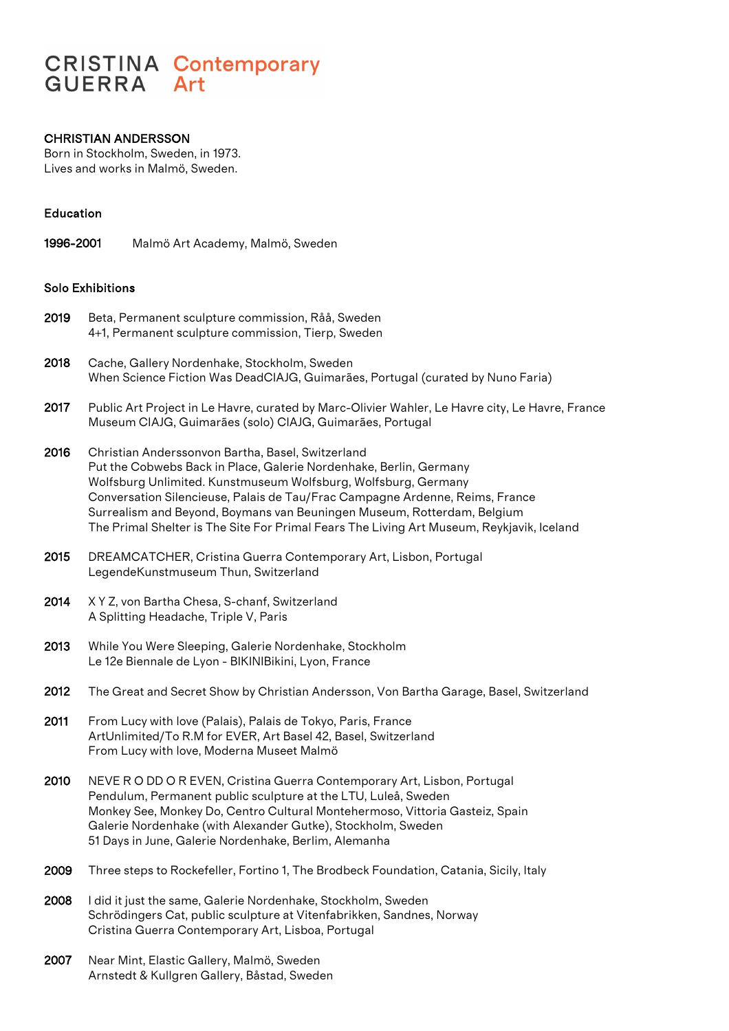# **CRISTINA Contemporary GUERRA** Art

## CHRISTIAN ANDERSSON

Born in Stockholm, Sweden, in 1973. Lives and works in Malmö, Sweden.

## Education

1996-2001 Malmö Art Academy, Malmö, Sweden

## Solo Exhibitions

- 2019 Beta, Permanent sculpture commission, Råå, Sweden 4+1, Permanent sculpture commission, Tierp, Sweden
- 2018 Cache, Gallery Nordenhake, Stockholm, Sweden When Science Fiction Was DeadCIAJG, Guimarães, Portugal (curated by Nuno Faria)
- 2017 Public Art Project in Le Havre, curated by Marc-Olivier Wahler, Le Havre city, Le Havre, France Museum CIAJG, Guimarães (solo) CIAJG, Guimarães, Portugal
- 2016 Christian Anderssonvon Bartha, Basel, Switzerland Put the Cobwebs Back in Place, Galerie Nordenhake, Berlin, Germany Wolfsburg Unlimited. Kunstmuseum Wolfsburg, Wolfsburg, Germany Conversation Silencieuse, Palais de Tau/Frac Campagne Ardenne, Reims, France Surrealism and Beyond, Boymans van Beuningen Museum, Rotterdam, Belgium The Primal Shelter is The Site For Primal Fears The Living Art Museum, Reykjavik, Iceland
- 2015 DREAMCATCHER, Cristina Guerra Contemporary Art, Lisbon, Portugal LegendeKunstmuseum Thun, Switzerland
- 2014 X Y Z, von Bartha Chesa, S-chanf, Switzerland A Splitting Headache, Triple V, Paris
- 2013 While You Were Sleeping, Galerie Nordenhake, Stockholm Le 12e Biennale de Lyon - BIKINIBikini, Lyon, France
- 2012 The Great and Secret Show by Christian Andersson, Von Bartha Garage, Basel, Switzerland
- 2011 From Lucy with love (Palais), Palais de Tokyo, Paris, France ArtUnlimited/To R.M for EVER, Art Basel 42, Basel, Switzerland From Lucy with love, Moderna Museet Malmö
- 2010 NEVE R O DD O R EVEN, Cristina Guerra Contemporary Art, Lisbon, Portugal Pendulum, Permanent public sculpture at the LTU, Luleå, Sweden Monkey See, Monkey Do, Centro Cultural Montehermoso, Vittoria Gasteiz, Spain Galerie Nordenhake (with Alexander Gutke), Stockholm, Sweden 51 Days in June, Galerie Nordenhake, Berlim, Alemanha
- 2009 Three steps to Rockefeller, Fortino 1, The Brodbeck Foundation, Catania, Sicily, Italy
- 2008 I did it just the same, Galerie Nordenhake, Stockholm, Sweden Schrödingers Cat, public sculpture at Vitenfabrikken, Sandnes, Norway Cristina Guerra Contemporary Art, Lisboa, Portugal
- 2007 Near Mint, Elastic Gallery, Malmö, Sweden Arnstedt & Kullgren Gallery, Båstad, Sweden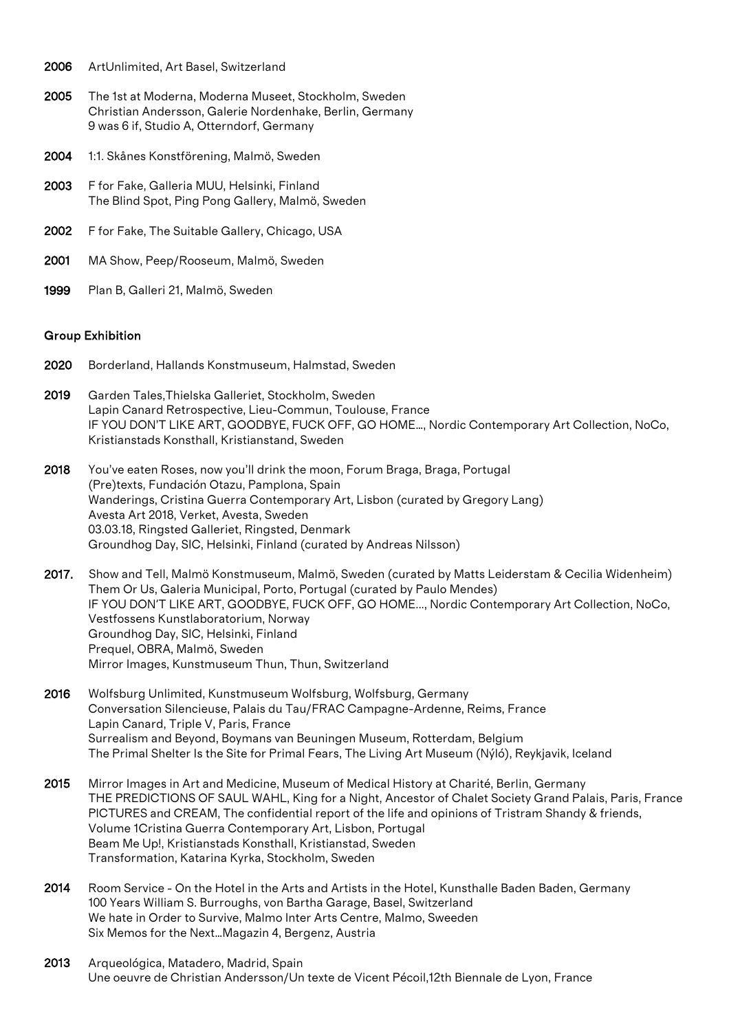- 2006 ArtUnlimited, Art Basel, Switzerland
- 2005 The 1st at Moderna, Moderna Museet, Stockholm, Sweden Christian Andersson, Galerie Nordenhake, Berlin, Germany 9 was 6 if, Studio A, Otterndorf, Germany
- 2004 1:1. Skånes Konstförening, Malmö, Sweden
- 2003 F for Fake, Galleria MUU, Helsinki, Finland The Blind Spot, Ping Pong Gallery, Malmö, Sweden
- 2002 F for Fake, The Suitable Gallery, Chicago, USA
- 2001 MA Show, Peep/Rooseum, Malmö, Sweden
- 1999 Plan B, Galleri 21, Malmö, Sweden

#### Group Exhibition

- 2020 Borderland, Hallands Konstmuseum, Halmstad, Sweden
- 2019 Garden Tales,Thielska Galleriet, Stockholm, Sweden Lapin Canard Retrospective, Lieu-Commun, Toulouse, France IF YOU DON'T LIKE ART, GOODBYE, FUCK OFF, GO HOME…, Nordic Contemporary Art Collection, NoCo, Kristianstads Konsthall, Kristianstand, Sweden
- 2018 You've eaten Roses, now you'll drink the moon, Forum Braga, Braga, Portugal (Pre)texts, Fundación Otazu, Pamplona, Spain Wanderings, Cristina Guerra Contemporary Art, Lisbon (curated by Gregory Lang) Avesta Art 2018, Verket, Avesta, Sweden 03.03.18, Ringsted Galleriet, Ringsted, Denmark Groundhog Day, SIC, Helsinki, Finland (curated by Andreas Nilsson)

2017. Show and Tell, Malmö Konstmuseum, Malmö, Sweden (curated by Matts Leiderstam & Cecilia Widenheim) Them Or Us, Galeria Municipal, Porto, Portugal (curated by Paulo Mendes) IF YOU DON'T LIKE ART, GOODBYE, FUCK OFF, GO HOME..., Nordic Contemporary Art Collection, NoCo, Vestfossens Kunstlaboratorium, Norway Groundhog Day, SIC, Helsinki, Finland Prequel, OBRA, Malmö, Sweden Mirror Images, Kunstmuseum Thun, Thun, Switzerland

- 2016 Wolfsburg Unlimited, Kunstmuseum Wolfsburg, Wolfsburg, Germany Conversation Silencieuse, Palais du Tau/FRAC Campagne-Ardenne, Reims, France Lapin Canard, Triple V, Paris, France Surrealism and Beyond, Boymans van Beuningen Museum, Rotterdam, Belgium The Primal Shelter Is the Site for Primal Fears, The Living Art Museum (Nýló), Reykjavik, Iceland
- 2015 Mirror Images in Art and Medicine, Museum of Medical History at Charité, Berlin, Germany THE PREDICTIONS OF SAUL WAHL, King for a Night, Ancestor of Chalet Society Grand Palais, Paris, France PICTURES and CREAM, The confidential report of the life and opinions of Tristram Shandy & friends, Volume 1Cristina Guerra Contemporary Art, Lisbon, Portugal Beam Me Up!, Kristianstads Konsthall, Kristianstad, Sweden Transformation, Katarina Kyrka, Stockholm, Sweden
- 2014 Room Service On the Hotel in the Arts and Artists in the Hotel, Kunsthalle Baden Baden, Germany 100 Years William S. Burroughs, von Bartha Garage, Basel, Switzerland We hate in Order to Survive, Malmo Inter Arts Centre, Malmo, Sweeden Six Memos for the Next…Magazin 4, Bergenz, Austria
- 2013 Arqueológica, Matadero, Madrid, Spain Une oeuvre de Christian Andersson/Un texte de Vicent Pécoil,12th Biennale de Lyon, France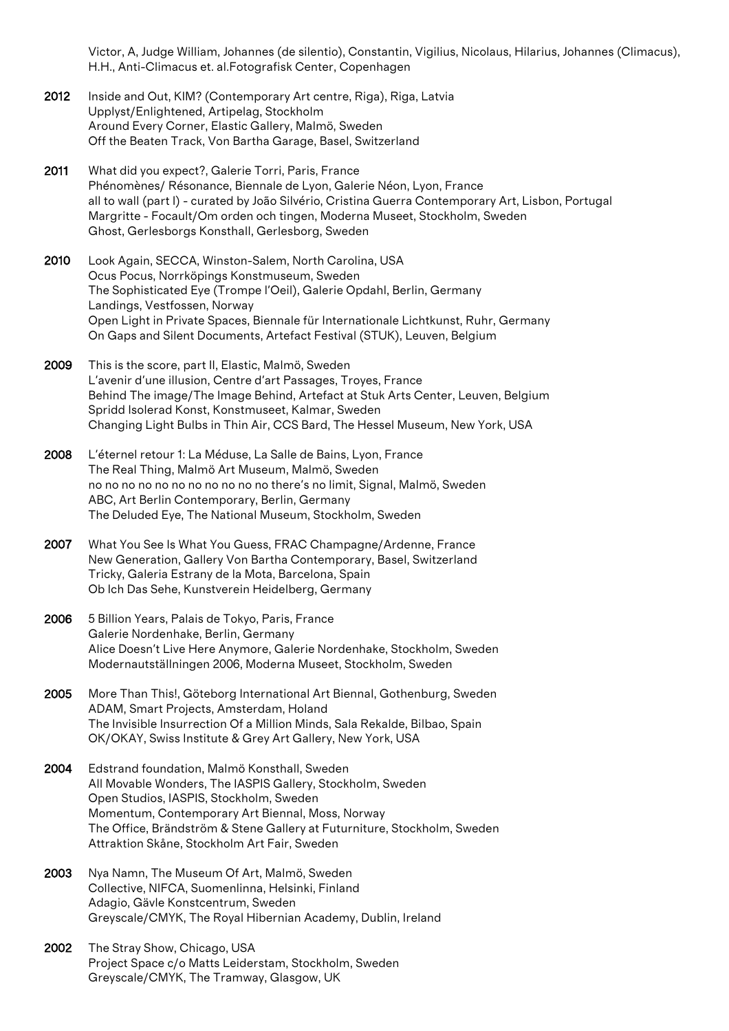Victor, A, Judge William, Johannes (de silentio), Constantin, Vigilius, Nicolaus, Hilarius, Johannes (Climacus), H.H., Anti-Climacus et. al.Fotografisk Center, Copenhagen

- 2012 Inside and Out, KIM? (Contemporary Art centre, Riga), Riga, Latvia Upplyst/Enlightened, Artipelag, Stockholm Around Every Corner, Elastic Gallery, Malmö, Sweden Off the Beaten Track, Von Bartha Garage, Basel, Switzerland
- 2011 What did you expect?, Galerie Torri, Paris, France Phénomènes/ Résonance, Biennale de Lyon, Galerie Néon, Lyon, France all to wall (part I) - curated by João Silvério, Cristina Guerra Contemporary Art, Lisbon, Portugal Margritte - Focault/Om orden och tingen, Moderna Museet, Stockholm, Sweden Ghost, Gerlesborgs Konsthall, Gerlesborg, Sweden
- 2010 Look Again, SECCA, Winston-Salem, North Carolina, USA Ocus Pocus, Norrköpings Konstmuseum, Sweden The Sophisticated Eye (Trompe l'Oeil), Galerie Opdahl, Berlin, Germany Landings, Vestfossen, Norway Open Light in Private Spaces, Biennale für Internationale Lichtkunst, Ruhr, Germany On Gaps and Silent Documents, Artefact Festival (STUK), Leuven, Belgium
- 2009 This is the score, part II, Elastic, Malmö, Sweden L'avenir d'une illusion, Centre d'art Passages, Troyes, France Behind The image/The Image Behind, Artefact at Stuk Arts Center, Leuven, Belgium Spridd Isolerad Konst, Konstmuseet, Kalmar, Sweden Changing Light Bulbs in Thin Air, CCS Bard, The Hessel Museum, New York, USA
- 2008 L'éternel retour 1: La Méduse, La Salle de Bains, Lyon, France The Real Thing, Malmö Art Museum, Malmö, Sweden no no no no no no no no no no no there's no limit, Signal, Malmö, Sweden ABC, Art Berlin Contemporary, Berlin, Germany The Deluded Eye, The National Museum, Stockholm, Sweden
- 2007 What You See Is What You Guess, FRAC Champagne/Ardenne, France New Generation, Gallery Von Bartha Contemporary, Basel, Switzerland Tricky, Galeria Estrany de la Mota, Barcelona, Spain Ob Ich Das Sehe, Kunstverein Heidelberg, Germany
- 2006 5 Billion Years, Palais de Tokyo, Paris, France Galerie Nordenhake, Berlin, Germany Alice Doesn't Live Here Anymore, Galerie Nordenhake, Stockholm, Sweden Modernautställningen 2006, Moderna Museet, Stockholm, Sweden
- 2005 More Than This!, Göteborg International Art Biennal, Gothenburg, Sweden ADAM, Smart Projects, Amsterdam, Holand The Invisible Insurrection Of a Million Minds, Sala Rekalde, Bilbao, Spain OK/OKAY, Swiss Institute & Grey Art Gallery, New York, USA
- 2004 Edstrand foundation, Malmö Konsthall, Sweden All Movable Wonders, The IASPIS Gallery, Stockholm, Sweden Open Studios, IASPIS, Stockholm, Sweden Momentum, Contemporary Art Biennal, Moss, Norway The Office, Brändström & Stene Gallery at Futurniture, Stockholm, Sweden Attraktion Skåne, Stockholm Art Fair, Sweden
- 2003 Nya Namn, The Museum Of Art, Malmö, Sweden Collective, NIFCA, Suomenlinna, Helsinki, Finland Adagio, Gävle Konstcentrum, Sweden Greyscale/CMYK, The Royal Hibernian Academy, Dublin, Ireland
- 2002 The Stray Show, Chicago, USA Project Space c/o Matts Leiderstam, Stockholm, Sweden Greyscale/CMYK, The Tramway, Glasgow, UK